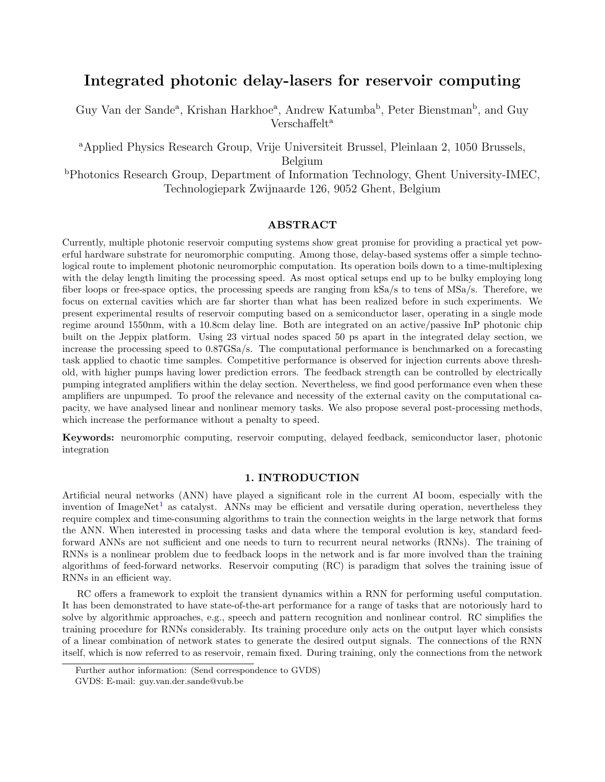# Integrated photonic delay-lasers for reservoir computing

Guy Van der Sande<sup>a</sup>, Krishan Harkhoe<sup>a</sup>, Andrew Katumba<sup>b</sup>, Peter Bienstman<sup>b</sup>, and Guy Verschaffelt<sup>a</sup>

<sup>a</sup>Applied Physics Research Group, Vrije Universiteit Brussel, Pleinlaan 2, 1050 Brussels, Belgium

<sup>b</sup>Photonics Research Group, Department of Information Technology, Ghent University-IMEC, Technologiepark Zwijnaarde 126, 9052 Ghent, Belgium

## ABSTRACT

Currently, multiple photonic reservoir computing systems show great promise for providing a practical yet powerful hardware substrate for neuromorphic computing. Among those, delay-based systems offer a simple technological route to implement photonic neuromorphic computation. Its operation boils down to a time-multiplexing with the delay length limiting the processing speed. As most optical setups end up to be bulky employing long fiber loops or free-space optics, the processing speeds are ranging from kSa/s to tens of MSa/s. Therefore, we focus on external cavities which are far shorter than what has been realized before in such experiments. We present experimental results of reservoir computing based on a semiconductor laser, operating in a single mode regime around 1550nm, with a 10.8cm delay line. Both are integrated on an active/passive InP photonic chip built on the Jeppix platform. Using 23 virtual nodes spaced 50 ps apart in the integrated delay section, we increase the processing speed to 0.87GSa/s. The computational performance is benchmarked on a forecasting task applied to chaotic time samples. Competitive performance is observed for injection currents above threshold, with higher pumps having lower prediction errors. The feedback strength can be controlled by electrically pumping integrated amplifiers within the delay section. Nevertheless, we find good performance even when these amplifiers are unpumped. To proof the relevance and necessity of the external cavity on the computational capacity, we have analysed linear and nonlinear memory tasks. We also propose several post-processing methods, which increase the performance without a penalty to speed.

Keywords: neuromorphic computing, reservoir computing, delayed feedback, semiconductor laser, photonic integration

# 1. INTRODUCTION

Artificial neural networks (ANN) have played a significant role in the current AI boom, especially with the invention of ImageNet<sup>[1](#page-4-0)</sup> as catalyst. ANNs may be efficient and versatile during operation, nevertheless they require complex and time-consuming algorithms to train the connection weights in the large network that forms the ANN. When interested in processing tasks and data where the temporal evolution is key, standard feedforward ANNs are not sufficient and one needs to turn to recurrent neural networks (RNNs). The training of RNNs is a nonlinear problem due to feedback loops in the network and is far more involved than the training algorithms of feed-forward networks. Reservoir computing (RC) is paradigm that solves the training issue of RNNs in an efficient way.

RC offers a framework to exploit the transient dynamics within a RNN for performing useful computation. It has been demonstrated to have state-of-the-art performance for a range of tasks that are notoriously hard to solve by algorithmic approaches, e.g., speech and pattern recognition and nonlinear control. RC simplifies the training procedure for RNNs considerably. Its training procedure only acts on the output layer which consists of a linear combination of network states to generate the desired output signals. The connections of the RNN itself, which is now referred to as reservoir, remain fixed. During training, only the connections from the network

Further author information: (Send correspondence to GVDS)

GVDS: E-mail: guy.van.der.sande@vub.be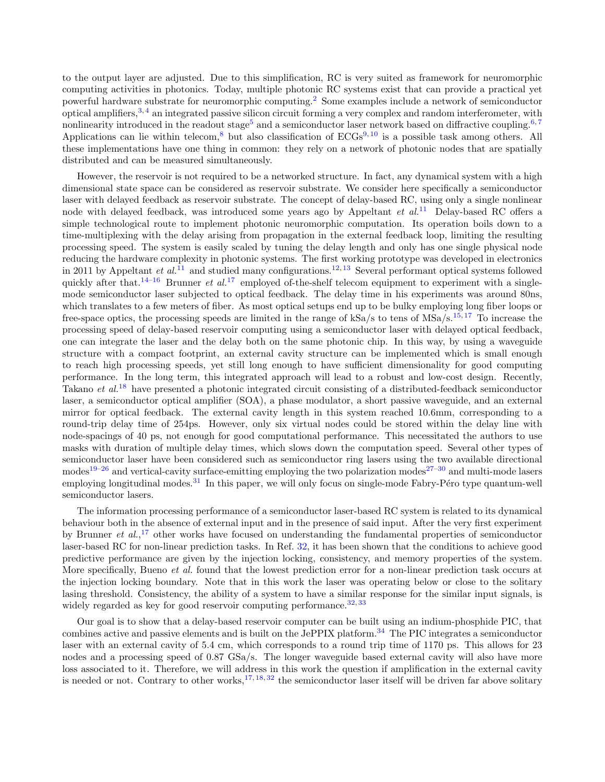to the output layer are adjusted. Due to this simplification, RC is very suited as framework for neuromorphic computing activities in photonics. Today, multiple photonic RC systems exist that can provide a practical yet powerful hardware substrate for neuromorphic computing.[2](#page-4-1) Some examples include a network of semiconductor optical amplifiers,<sup>[3,](#page-4-2)[4](#page-4-3)</sup> an integrated passive silicon circuit forming a very complex and random interferometer, with nonlinearity introduced in the readout stage<sup>[5](#page-4-4)</sup> and a semiconductor laser network based on diffractive coupling.<sup>[6,](#page-5-0)[7](#page-5-1)</sup> Applications can lie within telecom,<sup>[8](#page-5-2)</sup> but also classification of  $ECGs<sup>9, 10</sup>$  $ECGs<sup>9, 10</sup>$  $ECGs<sup>9, 10</sup>$  $ECGs<sup>9, 10</sup>$  $ECGs<sup>9, 10</sup>$  is a possible task among others. All these implementations have one thing in common: they rely on a network of photonic nodes that are spatially distributed and can be measured simultaneously.

However, the reservoir is not required to be a networked structure. In fact, any dynamical system with a high dimensional state space can be considered as reservoir substrate. We consider here specifically a semiconductor laser with delayed feedback as reservoir substrate. The concept of delay-based RC, using only a single nonlinear node with delayed feedback, was introduced some years ago by Appeltant *et al.*<sup>[11](#page-5-5)</sup> Delay-based RC offers a simple technological route to implement photonic neuromorphic computation. Its operation boils down to a time-multiplexing with the delay arising from propagation in the external feedback loop, limiting the resulting processing speed. The system is easily scaled by tuning the delay length and only has one single physical node reducing the hardware complexity in photonic systems. The first working prototype was developed in electronics in 20[11](#page-5-5) by Appeltant et  $al$ <sup>11</sup> and studied many configurations.<sup>[12,](#page-5-6) [13](#page-5-7)</sup> Several performant optical systems followed quickly after that.<sup>[14](#page-5-8)[–16](#page-5-9)</sup> Brunner et  $al$ .<sup>[17](#page-5-10)</sup> employed of-the-shelf telecom equipment to experiment with a singlemode semiconductor laser subjected to optical feedback. The delay time in his experiments was around 80ns, which translates to a few meters of fiber. As most optical setups end up to be bulky employing long fiber loops or free-space optics, the processing speeds are limited in the range of kSa/s to tens of MSa/s.<sup>[15,](#page-5-11) [17](#page-5-10)</sup> To increase the processing speed of delay-based reservoir computing using a semiconductor laser with delayed optical feedback, one can integrate the laser and the delay both on the same photonic chip. In this way, by using a waveguide structure with a compact footprint, an external cavity structure can be implemented which is small enough to reach high processing speeds, yet still long enough to have sufficient dimensionality for good computing performance. In the long term, this integrated approach will lead to a robust and low-cost design. Recently, Takano *et al.*<sup>[18](#page-5-12)</sup> have presented a photonic integrated circuit consisting of a distributed-feedback semiconductor laser, a semiconductor optical amplifier (SOA), a phase modulator, a short passive waveguide, and an external mirror for optical feedback. The external cavity length in this system reached 10.6mm, corresponding to a round-trip delay time of 254ps. However, only six virtual nodes could be stored within the delay line with node-spacings of 40 ps, not enough for good computational performance. This necessitated the authors to use masks with duration of multiple delay times, which slows down the computation speed. Several other types of semiconductor laser have been considered such as semiconductor ring lasers using the two available directional modes<sup>[19](#page-5-13)[–26](#page-5-14)</sup> and vertical-cavity surface-emitting employing the two polarization modes<sup>[27](#page-5-15)[–30](#page-6-0)</sup> and multi-mode lasers employing longitudinal modes. $31$  In this paper, we will only focus on single-mode Fabry-Péro type quantum-well semiconductor lasers.

The information processing performance of a semiconductor laser-based RC system is related to its dynamical behaviour both in the absence of external input and in the presence of said input. After the very first experiment by Brunner *et al.*,<sup>[17](#page-5-10)</sup> other works have focused on understanding the fundamental properties of semiconductor laser-based RC for non-linear prediction tasks. In Ref. [32,](#page-6-2) it has been shown that the conditions to achieve good predictive performance are given by the injection locking, consistency, and memory properties of the system. More specifically, Bueno *et al.* found that the lowest prediction error for a non-linear prediction task occurs at the injection locking boundary. Note that in this work the laser was operating below or close to the solitary lasing threshold. Consistency, the ability of a system to have a similar response for the similar input signals, is widely regarded as key for good reservoir computing performance.  $32, 33$  $32, 33$  $32, 33$ 

Our goal is to show that a delay-based reservoir computer can be built using an indium-phosphide PIC, that combines active and passive elements and is built on the JePPIX platform.<sup>[34](#page-6-4)</sup> The PIC integrates a semiconductor laser with an external cavity of 5.4 cm, which corresponds to a round trip time of 1170 ps. This allows for 23 nodes and a processing speed of 0.87 GSa/s. The longer waveguide based external cavity will also have more loss associated to it. Therefore, we will address in this work the question if amplification in the external cavity is needed or not. Contrary to other works,  $17, 18, 32$  $17, 18, 32$  $17, 18, 32$  $17, 18, 32$  $17, 18, 32$  the semiconductor laser itself will be driven far above solitary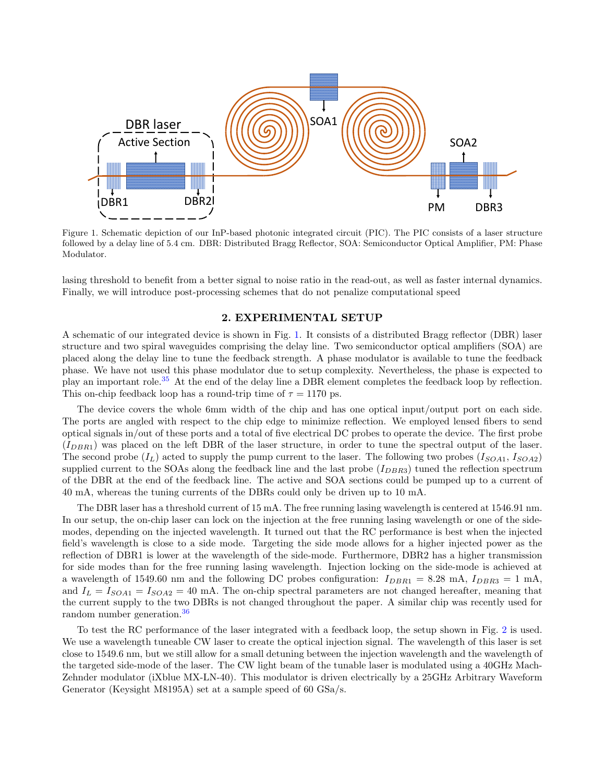

<span id="page-2-0"></span>Figure 1. Schematic depiction of our InP-based photonic integrated circuit (PIC). The PIC consists of a laser structure followed by a delay line of 5.4 cm. DBR: Distributed Bragg Reflector, SOA: Semiconductor Optical Amplifier, PM: Phase Modulator.

lasing threshold to benefit from a better signal to noise ratio in the read-out, as well as faster internal dynamics. Finally, we will introduce post-processing schemes that do not penalize computational speed

### 2. EXPERIMENTAL SETUP

A schematic of our integrated device is shown in Fig. [1.](#page-2-0) It consists of a distributed Bragg reflector (DBR) laser structure and two spiral waveguides comprising the delay line. Two semiconductor optical amplifiers (SOA) are placed along the delay line to tune the feedback strength. A phase modulator is available to tune the feedback phase. We have not used this phase modulator due to setup complexity. Nevertheless, the phase is expected to play an important role.[35](#page-6-5) At the end of the delay line a DBR element completes the feedback loop by reflection. This on-chip feedback loop has a round-trip time of  $\tau = 1170$  ps.

The device covers the whole 6mm width of the chip and has one optical input/output port on each side. The ports are angled with respect to the chip edge to minimize reflection. We employed lensed fibers to send optical signals in/out of these ports and a total of five electrical DC probes to operate the device. The first probe  $(I_{DRR1})$  was placed on the left DBR of the laser structure, in order to tune the spectral output of the laser. The second probe  $(I_L)$  acted to supply the pump current to the laser. The following two probes  $(I_{SOA1}, I_{SOA2})$ supplied current to the SOAs along the feedback line and the last probe  $(I_{DBR3})$  tuned the reflection spectrum of the DBR at the end of the feedback line. The active and SOA sections could be pumped up to a current of 40 mA, whereas the tuning currents of the DBRs could only be driven up to 10 mA.

The DBR laser has a threshold current of 15 mA. The free running lasing wavelength is centered at 1546.91 nm. In our setup, the on-chip laser can lock on the injection at the free running lasing wavelength or one of the sidemodes, depending on the injected wavelength. It turned out that the RC performance is best when the injected field's wavelength is close to a side mode. Targeting the side mode allows for a higher injected power as the reflection of DBR1 is lower at the wavelength of the side-mode. Furthermore, DBR2 has a higher transmission for side modes than for the free running lasing wavelength. Injection locking on the side-mode is achieved at a wavelength of 1549.60 nm and the following DC probes configuration:  $I_{DBR1} = 8.28 \text{ mA}$ ,  $I_{DBR3} = 1 \text{ mA}$ , and  $I_L = I_{SOA1} = I_{SOA2} = 40$  mA. The on-chip spectral parameters are not changed hereafter, meaning that the current supply to the two DBRs is not changed throughout the paper. A similar chip was recently used for random number generation.[36](#page-6-6)

To test the RC performance of the laser integrated with a feedback loop, the setup shown in Fig. [2](#page-3-0) is used. We use a wavelength tuneable CW laser to create the optical injection signal. The wavelength of this laser is set close to 1549.6 nm, but we still allow for a small detuning between the injection wavelength and the wavelength of the targeted side-mode of the laser. The CW light beam of the tunable laser is modulated using a 40GHz Mach-Zehnder modulator (iXblue MX-LN-40). This modulator is driven electrically by a 25GHz Arbitrary Waveform Generator (Keysight M8195A) set at a sample speed of 60 GSa/s.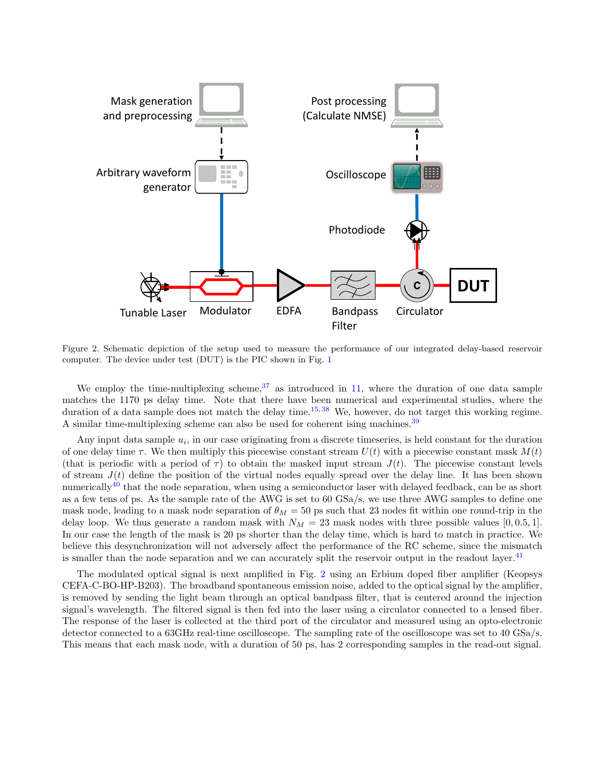

<span id="page-3-0"></span>Figure 2. Schematic depiction of the setup used to measure the performance of our integrated delay-based reservoir computer. The device under test (DUT) is the PIC shown in Fig. [1](#page-2-0)

We employ the time-multiplexing scheme,  $37$  as introduced in [11,](#page-5-5) where the duration of one data sample matches the 1170 ps delay time. Note that there have been numerical and experimental studies, where the duration of a data sample does not match the delay time.<sup>[15,](#page-5-11)[38](#page-6-8)</sup> We, however, do not target this working regime. A similar time-multiplexing scheme can also be used for coherent ising machines.<sup>[39](#page-6-9)</sup>

Any input data sample  $u_i$ , in our case originating from a discrete timeseries, is held constant for the duration of one delay time  $\tau$ . We then multiply this piecewise constant stream  $U(t)$  with a piecewise constant mask  $M(t)$ (that is periodic with a period of  $\tau$ ) to obtain the masked input stream  $J(t)$ . The piecewise constant levels of stream  $J(t)$  define the position of the virtual nodes equally spread over the delay line. It has been shown numerically<sup>[40](#page-6-10)</sup> that the node separation, when using a semiconductor laser with delayed feedback, can be as short as a few tens of ps. As the sample rate of the AWG is set to 60 GSa/s, we use three AWG samples to define one mask node, leading to a mask node separation of  $\theta_M = 50$  ps such that 23 nodes fit within one round-trip in the delay loop. We thus generate a random mask with  $N_M = 23$  mask nodes with three possible values [0, 0.5, 1]. In our case the length of the mask is 20 ps shorter than the delay time, which is hard to match in practice. We believe this desynchronization will not adversely affect the performance of the RC scheme, since the mismatch is smaller than the node separation and we can accurately split the reservoir output in the readout layer.<sup>[41](#page-6-11)</sup>

The modulated optical signal is next amplified in Fig. [2](#page-3-0) using an Erbium doped fiber amplifier (Keopsys CEFA-C-BO-HP-B203). The broadband spontaneous emission noise, added to the optical signal by the amplifier, is removed by sending the light beam through an optical bandpass filter, that is centered around the injection signal's wavelength. The filtered signal is then fed into the laser using a circulator connected to a lensed fiber. The response of the laser is collected at the third port of the circulator and measured using an opto-electronic detector connected to a 63GHz real-time oscilloscope. The sampling rate of the oscilloscope was set to 40 GSa/s. This means that each mask node, with a duration of 50 ps, has 2 corresponding samples in the read-out signal.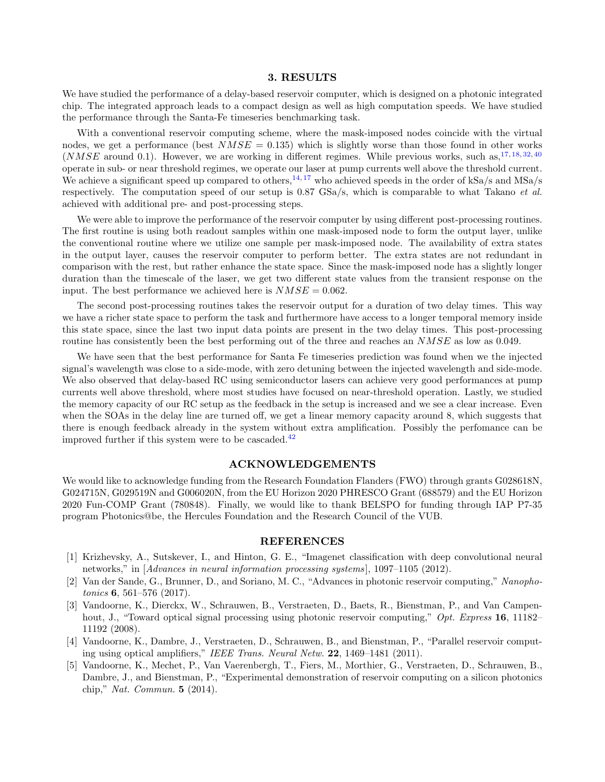## 3. RESULTS

We have studied the performance of a delay-based reservoir computer, which is designed on a photonic integrated chip. The integrated approach leads to a compact design as well as high computation speeds. We have studied the performance through the Santa-Fe timeseries benchmarking task.

With a conventional reservoir computing scheme, where the mask-imposed nodes coincide with the virtual nodes, we get a performance (best  $NMSE = 0.135$ ) which is slightly worse than those found in other works  $(NMSE$  around 0.1). However, we are working in different regimes. While previous works, such as,  $17, 18, 32, 40$  $17, 18, 32, 40$  $17, 18, 32, 40$  $17, 18, 32, 40$  $17, 18, 32, 40$  $17, 18, 32, 40$  $17, 18, 32, 40$ operate in sub- or near threshold regimes, we operate our laser at pump currents well above the threshold current. We achieve a significant speed up compared to others,  $14, 17$  $14, 17$  $14, 17$  who achieved speeds in the order of kSa/s and MSa/s respectively. The computation speed of our setup is  $0.87 \text{ GSa/s}$ , which is comparable to what Takano *et al.* achieved with additional pre- and post-processing steps.

We were able to improve the performance of the reservoir computer by using different post-processing routines. The first routine is using both readout samples within one mask-imposed node to form the output layer, unlike the conventional routine where we utilize one sample per mask-imposed node. The availability of extra states in the output layer, causes the reservoir computer to perform better. The extra states are not redundant in comparison with the rest, but rather enhance the state space. Since the mask-imposed node has a slightly longer duration than the timescale of the laser, we get two different state values from the transient response on the input. The best performance we achieved here is  $NMSE = 0.062$ .

The second post-processing routines takes the reservoir output for a duration of two delay times. This way we have a richer state space to perform the task and furthermore have access to a longer temporal memory inside this state space, since the last two input data points are present in the two delay times. This post-processing routine has consistently been the best performing out of the three and reaches an  $NMSE$  as low as 0.049.

We have seen that the best performance for Santa Fe timeseries prediction was found when we the injected signal's wavelength was close to a side-mode, with zero detuning between the injected wavelength and side-mode. We also observed that delay-based RC using semiconductor lasers can achieve very good performances at pump currents well above threshold, where most studies have focused on near-threshold operation. Lastly, we studied the memory capacity of our RC setup as the feedback in the setup is increased and we see a clear increase. Even when the SOAs in the delay line are turned off, we get a linear memory capacity around 8, which suggests that there is enough feedback already in the system without extra amplification. Possibly the perfomance can be improved further if this system were to be cascaded. $42$ 

#### ACKNOWLEDGEMENTS

We would like to acknowledge funding from the Research Foundation Flanders (FWO) through grants G028618N, G024715N, G029519N and G006020N, from the EU Horizon 2020 PHRESCO Grant (688579) and the EU Horizon 2020 Fun-COMP Grant (780848). Finally, we would like to thank BELSPO for funding through IAP P7-35 program Photonics@be, the Hercules Foundation and the Research Council of the VUB.

#### REFERENCES

- <span id="page-4-0"></span>[1] Krizhevsky, A., Sutskever, I., and Hinton, G. E., "Imagenet classification with deep convolutional neural networks," in [Advances in neural information processing systems], 1097-1105 (2012).
- <span id="page-4-1"></span>[2] Van der Sande, G., Brunner, D., and Soriano, M. C., "Advances in photonic reservoir computing," Nanopho*tonics* **6**, 561–576  $(2017)$ .
- <span id="page-4-2"></span>[3] Vandoorne, K., Dierckx, W., Schrauwen, B., Verstraeten, D., Baets, R., Bienstman, P., and Van Campenhout, J., "Toward optical signal processing using photonic reservoir computing," Opt. Express 16, 11182– 11192 (2008).
- <span id="page-4-3"></span>[4] Vandoorne, K., Dambre, J., Verstraeten, D., Schrauwen, B., and Bienstman, P., "Parallel reservoir computing using optical amplifiers," IEEE Trans. Neural Netw. 22, 1469–1481 (2011).
- <span id="page-4-4"></span>[5] Vandoorne, K., Mechet, P., Van Vaerenbergh, T., Fiers, M., Morthier, G., Verstraeten, D., Schrauwen, B., Dambre, J., and Bienstman, P., "Experimental demonstration of reservoir computing on a silicon photonics chip," Nat. Commun. 5 (2014).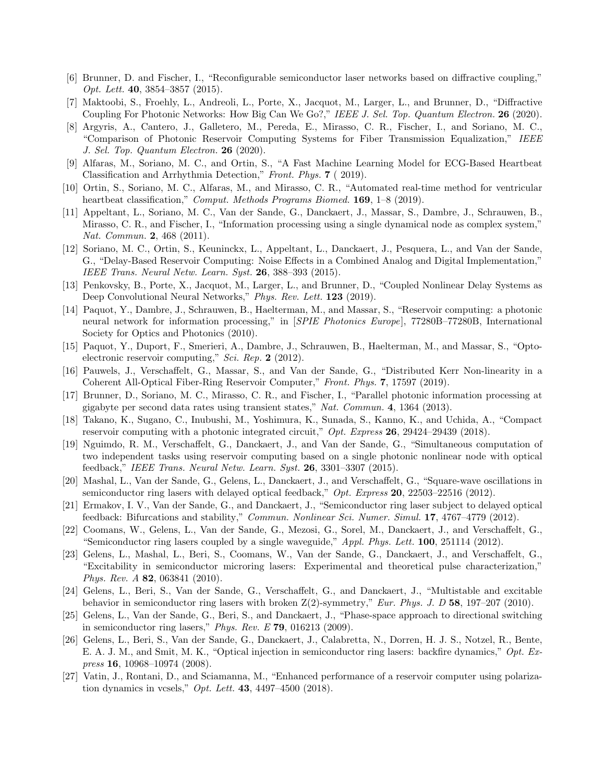- <span id="page-5-0"></span>[6] Brunner, D. and Fischer, I., "Reconfigurable semiconductor laser networks based on diffractive coupling," Opt. Lett. 40, 3854–3857 (2015).
- <span id="page-5-1"></span>[7] Maktoobi, S., Froehly, L., Andreoli, L., Porte, X., Jacquot, M., Larger, L., and Brunner, D., "Diffractive Coupling For Photonic Networks: How Big Can We Go?," IEEE J. Sel. Top. Quantum Electron. 26 (2020).
- <span id="page-5-2"></span>[8] Argyris, A., Cantero, J., Galletero, M., Pereda, E., Mirasso, C. R., Fischer, I., and Soriano, M. C., "Comparison of Photonic Reservoir Computing Systems for Fiber Transmission Equalization," IEEE J. Sel. Top. Quantum Electron. 26 (2020).
- <span id="page-5-3"></span>[9] Alfaras, M., Soriano, M. C., and Ortin, S., "A Fast Machine Learning Model for ECG-Based Heartbeat Classification and Arrhythmia Detection," Front. Phys. 7 ( 2019).
- <span id="page-5-4"></span>[10] Ortin, S., Soriano, M. C., Alfaras, M., and Mirasso, C. R., "Automated real-time method for ventricular heartbeat classification," Comput. Methods Programs Biomed. 169, 1–8 (2019).
- <span id="page-5-5"></span>[11] Appeltant, L., Soriano, M. C., Van der Sande, G., Danckaert, J., Massar, S., Dambre, J., Schrauwen, B., Mirasso, C. R., and Fischer, I., "Information processing using a single dynamical node as complex system," Nat. Commun. 2, 468 (2011).
- <span id="page-5-6"></span>[12] Soriano, M. C., Ortin, S., Keuninckx, L., Appeltant, L., Danckaert, J., Pesquera, L., and Van der Sande, G., "Delay-Based Reservoir Computing: Noise Effects in a Combined Analog and Digital Implementation," IEEE Trans. Neural Netw. Learn. Syst. 26, 388–393 (2015).
- <span id="page-5-7"></span>[13] Penkovsky, B., Porte, X., Jacquot, M., Larger, L., and Brunner, D., "Coupled Nonlinear Delay Systems as Deep Convolutional Neural Networks," Phys. Rev. Lett. **123** (2019).
- <span id="page-5-8"></span>[14] Paquot, Y., Dambre, J., Schrauwen, B., Haelterman, M., and Massar, S., "Reservoir computing: a photonic neural network for information processing," in [SPIE Photonics Europe], 77280B–77280B, International Society for Optics and Photonics (2010).
- <span id="page-5-11"></span>[15] Paquot, Y., Duport, F., Smerieri, A., Dambre, J., Schrauwen, B., Haelterman, M., and Massar, S., "Optoelectronic reservoir computing," Sci. Rep. 2 (2012).
- <span id="page-5-9"></span>[16] Pauwels, J., Verschaffelt, G., Massar, S., and Van der Sande, G., "Distributed Kerr Non-linearity in a Coherent All-Optical Fiber-Ring Reservoir Computer," Front. Phys. 7, 17597 (2019).
- <span id="page-5-10"></span>[17] Brunner, D., Soriano, M. C., Mirasso, C. R., and Fischer, I., "Parallel photonic information processing at gigabyte per second data rates using transient states," Nat. Commun. 4, 1364 (2013).
- <span id="page-5-12"></span>[18] Takano, K., Sugano, C., Inubushi, M., Yoshimura, K., Sunada, S., Kanno, K., and Uchida, A., "Compact reservoir computing with a photonic integrated circuit," Opt. Express 26, 29424–29439 (2018).
- <span id="page-5-13"></span>[19] Nguimdo, R. M., Verschaffelt, G., Danckaert, J., and Van der Sande, G., "Simultaneous computation of two independent tasks using reservoir computing based on a single photonic nonlinear node with optical feedback," IEEE Trans. Neural Netw. Learn. Syst.  $26, 3301-3307$  (2015).
- [20] Mashal, L., Van der Sande, G., Gelens, L., Danckaert, J., and Verschaffelt, G., "Square-wave oscillations in semiconductor ring lasers with delayed optical feedback,"  $Opt.$  Express 20, 22503-22516 (2012).
- [21] Ermakov, I. V., Van der Sande, G., and Danckaert, J., "Semiconductor ring laser subject to delayed optical feedback: Bifurcations and stability," Commun. Nonlinear Sci. Numer. Simul. 17, 4767-4779 (2012).
- [22] Coomans, W., Gelens, L., Van der Sande, G., Mezosi, G., Sorel, M., Danckaert, J., and Verschaffelt, G., "Semiconductor ring lasers coupled by a single waveguide," Appl. Phys. Lett. 100, 251114 (2012).
- [23] Gelens, L., Mashal, L., Beri, S., Coomans, W., Van der Sande, G., Danckaert, J., and Verschaffelt, G., "Excitability in semiconductor microring lasers: Experimental and theoretical pulse characterization," Phys. Rev. A 82, 063841 (2010).
- [24] Gelens, L., Beri, S., Van der Sande, G., Verschaffelt, G., and Danckaert, J., "Multistable and excitable behavior in semiconductor ring lasers with broken Z(2)-symmetry," Eur. Phys. J. D 58, 197-207 (2010).
- [25] Gelens, L., Van der Sande, G., Beri, S., and Danckaert, J., "Phase-space approach to directional switching in semiconductor ring lasers," *Phys. Rev. E* 79, 016213 (2009).
- <span id="page-5-14"></span>[26] Gelens, L., Beri, S., Van der Sande, G., Danckaert, J., Calabretta, N., Dorren, H. J. S., Notzel, R., Bente, E. A. J. M., and Smit, M. K., "Optical injection in semiconductor ring lasers: backfire dynamics," Opt. Express 16, 10968–10974 (2008).
- <span id="page-5-15"></span>[27] Vatin, J., Rontani, D., and Sciamanna, M., "Enhanced performance of a reservoir computer using polarization dynamics in vcsels," *Opt. Lett.* **43**, 4497-4500 (2018).